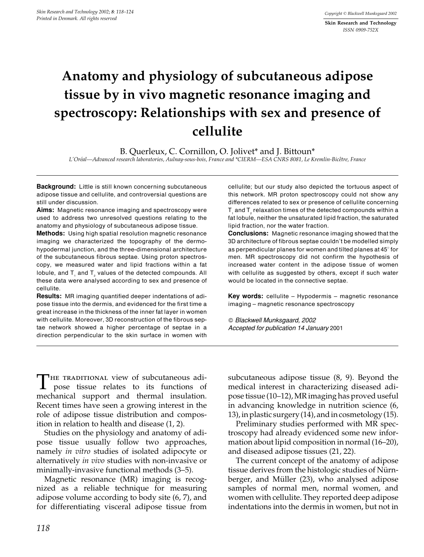Skin Research and Technology **ISSN 0909-752X** 

# Anatomy and physiology of subcutaneous adipose tissue by in vivo magnetic resonance imaging and spectroscopy: Relationships with sex and presence of cellulite

B. Querleux, C. Cornillon, O. Jolivet\* and J. Bittoun\*

L'Oréal-Advanced research laboratories, Aulnay-sous-bois, France and \*CIERM-ESA CNRS 8081, Le Kremlin-Bicêtre, France

Background: Little is still known concerning subcutaneous adipose tissue and cellulite, and controversial questions are still under discussion.

**Aims:** Magnetic resonance imaging and spectroscopy were used to address two unresolved questions relating to the anatomy and physiology of subcutaneous adipose tissue.

Methods: Using high spatial resolution magnetic resonance imaging we characterized the topography of the dermohypodermal junction, and the three-dimensional architecture of the subcutaneous fibrous septae. Using proton spectroscopy, we measured water and lipid fractions within a fat lobule, and T<sub>,</sub> and T<sub>,</sub> values of the detected compounds. All these data were analysed according to sex and presence of cellulite.

**Results:** MR imaging quantified deeper indentations of adipose tissue into the dermis, and evidenced for the first time a great increase in the thickness of the inner fat layer in women with cellulite. Moreover, 3D reconstruction of the fibrous septae network showed a higher percentage of septae in a direction perpendicular to the skin surface in women with

cellulite; but our study also depicted the tortuous aspect of this network. MR proton spectroscopy could not show any differences related to sex or presence of cellulite concerning T and T relaxation times of the detected compounds within a fat lobule, neither the unsaturated lipid fraction, the saturated lipid fraction, nor the water fraction.

**Conclusions:** Magnetic resonance imaging showed that the 3D architecture of fibrous septae couldn't be modelled simply as perpendicular planes for women and tilted planes at 45° for men. MR spectroscopy did not confirm the hypothesis of increased water content in the adipose tissue of women with cellulite as suggested by others, except if such water would be located in the connective septae.

Key words: cellulite - Hypodermis - magnetic resonance imaging - magnetic resonance spectroscopy

© Blackwell Munksgaard, 2002 Accepted for publication 14 January 2001

THE TRADITIONAL view of subcutaneous adipose tissue relates to its functions of mechanical support and thermal insulation. Recent times have seen a growing interest in the role of adipose tissue distribution and composition in relation to health and disease (1, 2).

Studies on the physiology and anatomy of adipose tissue usually follow two approaches, namely *in vitro* studies of isolated adipocyte or alternatively in vivo studies with non-invasive or minimally-invasive functional methods (3–5).

Magnetic resonance (MR) imaging is recognized as a reliable technique for measuring adipose volume according to body site (6, 7), and for differentiating visceral adipose tissue from subcutaneous adipose tissue  $(8, 9)$ . Beyond the medical interest in characterizing diseased adipose tissue (10-12), MR imaging has proved useful in advancing knowledge in nutrition science (6, 13), in plastic surgery  $(14)$ , and in cosmetology  $(15)$ .

Preliminary studies performed with MR spectroscopy had already evidenced some new information about lipid composition in normal (16–20), and diseased adipose tissues (21, 22).

The current concept of the anatomy of adipose tissue derives from the histologic studies of Nürnberger, and Müller (23), who analysed adipose samples of normal men, normal women, and women with cellulite. They reported deep adipose indentations into the dermis in women, but not in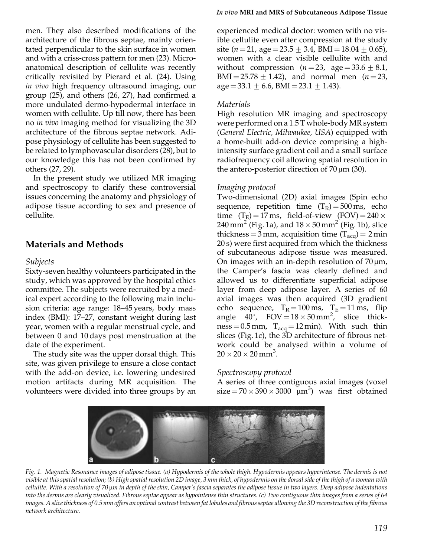men. They also described modifications of the architecture of the fibrous septae, mainly orientated perpendicular to the skin surface in women and with a criss-cross pattern for men (23). Microanatomical description of cellulite was recently critically revisited by Pierard et al. (24). Using in vivo high frequency ultrasound imaging, our group (25), and others (26, 27), had confirmed a more undulated dermo-hypodermal interface in women with cellulite. Up till now, there has been no *in vivo* imaging method for visualizing the 3D architecture of the fibrous septae network. Adipose physiology of cellulite has been suggested to be related to lymphovascular disorders (28), but to our knowledge this has not been confirmed by others (27, 29).

In the present study we utilized MR imaging and spectroscopy to clarify these controversial issues concerning the anatomy and physiology of adipose tissue according to sex and presence of cellulite.

## **Materials and Methods**

#### **Subjects**

Sixty-seven healthy volunteers participated in the study, which was approved by the hospital ethics committee. The subjects were recruited by a medical expert according to the following main inclusion criteria: age range: 18-45 years, body mass index (BMI): 17–27, constant weight during last year, women with a regular menstrual cycle, and between 0 and 10 days post menstruation at the date of the experiment.

The study site was the upper dorsal thigh. This site, was given privilege to ensure a close contact with the add-on device, *i.e.* lowering undesired motion artifacts during MR acquisition. The volunteers were divided into three groups by an

#### In vivo MRI and MRS of Subcutaneous Adipose Tissue

experienced medical doctor: women with no visible cellulite even after compression at the study site  $(n=21, \text{ age} = 23.5 \pm 3.4, \text{ BMI} = 18.04 \pm 0.65)$ , women with a clear visible cellulite with and without compression  $(n=23, \text{ age} = 33.6 \pm 8.1,$ BMI = 25.78  $\pm$  1.42), and normal men (*n* = 23,  $age = 33.1 \pm 6.6$ , BMI = 23.1  $\pm$  1.43).

#### **Materials**

High resolution MR imaging and spectroscopy were performed on a 1.5 T whole-body MR system (General Electric, Milwaukee, USA) equipped with a home-built add-on device comprising a highintensity surface gradient coil and a small surface radiofrequency coil allowing spatial resolution in the antero-posterior direction of  $70 \,\mu m$  (30).

## Imaging protocol

Two-dimensional (2D) axial images (Spin echo sequence, repetition time  $(T_R) = 500 \text{ ms}$ , echo time  $(T_E) = 17$  ms, field-of-view  $(FOV) = 240 \times$ 240 mm<sup>2</sup> (Fig. 1a), and  $18 \times 50$  mm<sup>2</sup> (Fig. 1b), slice thickness =  $3 \text{ mm}$ , acquisition time (T<sub>acq</sub>) =  $2 \text{ min}$ 20 s) were first acquired from which the thickness of subcutaneous adipose tissue was measured. On images with an in-depth resolution of  $70 \mu m$ , the Camper's fascia was clearly defined and allowed us to differentiate superficial adipose layer from deep adipose layer. A series of 60 axial images was then acquired (3D gradient echo sequence,  $T_R = 100 \text{ ms}$ ,  $T_E = 11 \text{ ms}$ , flip angle  $40^{\circ}$ , FOV =  $18 \times 50$  mm<sup>2</sup>, slice thick $ness = 0.5$  mm,  $T_{acq} = 12$  min). With such thin slices (Fig. 1c), the 3D architecture of fibrous network could be analysed within a volume of  $20 \times 20 \times 20$  mm<sup>3</sup>.

## Spectroscopy protocol

A series of three contiguous axial images (voxel  $size = 70 \times 390 \times 3000 \mu m^3$  was first obtained



Fig. 1. Magnetic Resonance images of adipose tissue. (a) Hypodermis of the whole thigh. Hypodermis appears hyperintense. The dermis is not visible at this spatial resolution; (b) High spatial resolution 2D image, 3 mm thick, of hypodermis on the dorsal side of the thigh of a woman with cellulite. With a resolution of 70 µm in depth of the skin, Camper's fascia separates the adipose tissue in two layers. Deep adipose indentations into the dermis are clearly visualized. Fibrous septae appear as hypointense thin structures. (c) Two contiguous thin images from a series of 64 images. A slice thickness of 0.5 mm offers an optimal contrast between fat lobules and fibrous septae allowing the 3D reconstruction of the fibrous network architecture.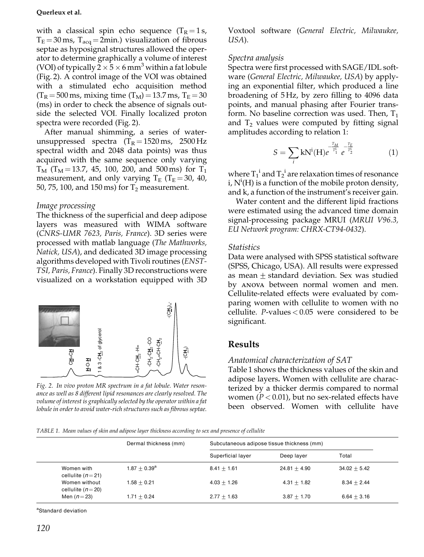#### Querleux et al.

with a classical spin echo sequence  $(T_R = 1 s,$  $T_E = 30$  ms,  $T_{acq} = 2$ min.) visualization of fibrous septae as hyposignal structures allowed the operator to determine graphically a volume of interest (VOI) of typically  $2 \times 5 \times 6$  mm<sup>3</sup> within a fat lobule (Fig. 2). A control image of the VOI was obtained with a stimulated echo acquisition method  $(T_R = 500 \text{ ms}, \text{ mixing time } (T_M) = 13.7 \text{ ms}, T_E = 30$ (ms) in order to check the absence of signals outside the selected VOI. Finally localized proton spectra were recorded (Fig. 2).

After manual shimming, a series of waterunsuppressed spectra  $(T_R = 1520 \text{ ms}, 2500 \text{ Hz})$ spectral width and 2048 data points) was thus acquired with the same sequence only varying  $T_M$  (T<sub>M</sub> = 13.7, 45, 100, 200, and 500 ms) for T<sub>1</sub> measurement, and only varying  $T_E$  (T<sub>E</sub> = 30, 40, 50, 75, 100, and 150 ms) for  $T_2$  measurement.

## Image processing

The thickness of the superficial and deep adipose layers was measured with WIMA software (CNRS-UMR 7623, Paris, France). 3D series were processed with matlab language (The Mathworks, *Natick, USA*), and dedicated 3D image processing algorithms developed with Tivoli routines (ENST-TSI, Paris, France). Finally 3D reconstructions were visualized on a workstation equipped with 3D



Fig. 2. In vivo proton MR spectrum in a fat lobule. Water resonance as well as 8 different lipid resonances are clearly resolved. The volume of interest is graphically selected by the operator within a fat lobule in order to avoid water-rich structures such as fibrous septae.

Voxtool software (General Electric, Milwaukee, USA).

## Spectra analysis

Spectra were first processed with SAGE/IDL software (General Electric, Milwaukee, USA) by applying an exponential filter, which produced a line broadening of 5Hz, by zero filling to 4096 data points, and manual phasing after Fourier transform. No baseline correction was used. Then,  $T_1$ and  $T_2$  values were computed by fitting signal amplitudes according to relation 1:

$$
S = \sum_{i} kN^{i}(H)e^{-\frac{T_{M}}{T_{1}^{i}}} e^{-\frac{T_{F}}{T_{2}^{i}}}
$$
(1)

where  $T_1^i$  and  $T_2^i$  are relaxation times of resonance i,  $N^1(H)$  is a function of the mobile proton density, and k, a function of the instrument's receiver gain.

Water content and the different lipid fractions were estimated using the advanced time domain signal-processing package MRUI (MRUI V96.3, EU Network program: CHRX-CT94-0432).

#### **Statistics**

Data were analysed with SPSS statistical software (SPSS, Chicago, USA). All results were expressed as mean  $\pm$  standard deviation. Sex was studied by ANOVA between normal women and men. Cellulite-related effects were evaluated by comparing women with cellulite to women with no cellulite.  $P$ -values < 0.05 were considered to be significant.

## **Results**

## Anatomical characterization of SAT

Table 1 shows the thickness values of the skin and adipose layers. Women with cellulite are characterized by a thicker dermis compared to normal women ( $P < 0.01$ ), but no sex-related effects have been observed. Women with cellulite have

TABLE 1. Mean values of skin and adipose layer thickness according to sex and presence of cellulite

|                                       | Dermal thickness (mm) | Subcutaneous adipose tissue thickness (mm) |                |                |  |
|---------------------------------------|-----------------------|--------------------------------------------|----------------|----------------|--|
|                                       |                       | Superficial layer                          | Deep layer     | Total          |  |
| Women with<br>cellulite ( $n=21$ )    | $1.87 + 0.39^a$       | $8.41 + 1.61$                              | $24.81 + 4.90$ | $34.02 + 5.42$ |  |
| Women without<br>cellulite ( $n=20$ ) | $1.58 + 0.21$         | $4.03 + 1.26$                              | $4.31 + 1.82$  | $8.34 + 2.44$  |  |
| Men $(n=23)$                          | $1.71 + 0.24$         | $2.77 + 1.63$                              | $3.87 + 1.70$  | $6.64 + 3.16$  |  |

<sup>a</sup>Standard deviation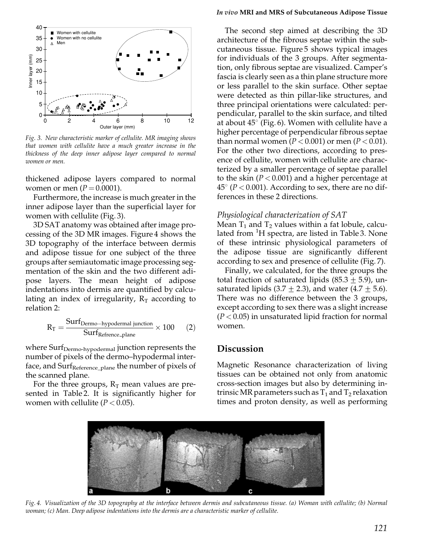

Fig. 3. New characteristic marker of cellulite. MR imaging shows that women with cellulite have a much greater increase in the thickness of the deep inner adipose layer compared to normal women or men.

thickened adipose layers compared to normal women or men  $(P = 0.0001)$ .

Furthermore, the increase is much greater in the inner adipose layer than the superficial layer for women with cellulite (Fig. 3).

3D SAT anatomy was obtained after image processing of the 3D MR images. Figure 4 shows the 3D topography of the interface between dermis and adipose tissue for one subject of the three groups after semiautomatic image processing segmentation of the skin and the two different adipose layers. The mean height of adipose indentations into dermis are quantified by calculating an index of irregularity,  $R_T$  according to relation 2:

$$
R_{T} = \frac{Surt_{Dermo-hypodermal junction}}{Surf_{Reference-plane}} \times 100
$$
 (2)

where Surf<sub>Dermo-hypodermal</sub> junction represents the number of pixels of the dermo-hypodermal interface, and Surf<sub>Reference plane</sub> the number of pixels of the scanned plane.

For the three groups,  $R_T$  mean values are presented in Table 2. It is significantly higher for women with cellulite ( $P < 0.05$ ).

#### In vivo MRI and MRS of Subcutaneous Adipose Tissue

The second step aimed at describing the 3D architecture of the fibrous septae within the subcutaneous tissue. Figure 5 shows typical images for individuals of the 3 groups. After segmentation, only fibrous septae are visualized. Camper's fascia is clearly seen as a thin plane structure more or less parallel to the skin surface. Other septae were detected as thin pillar-like structures, and three principal orientations were calculated: perpendicular, parallel to the skin surface, and tilted at about  $45^{\circ}$  (Fig. 6). Women with cellulite have a higher percentage of perpendicular fibrous septae than normal women ( $P < 0.001$ ) or men ( $P < 0.01$ ). For the other two directions, according to presence of cellulite, women with cellulite are characterized by a smaller percentage of septae parallel to the skin ( $P < 0.001$ ) and a higher percentage at  $45^{\circ}$  (P < 0.001). According to sex, there are no differences in these 2 directions.

#### Physiological characterization of SAT

Mean  $T_1$  and  $T_2$  values within a fat lobule, calculated from <sup>1</sup>H spectra, are listed in Table 3. None of these intrinsic physiological parameters of the adipose tissue are significantly different according to sex and presence of cellulite (Fig. 7).

Finally, we calculated, for the three groups the total fraction of saturated lipids  $(85.3 \pm 5.9)$ , unsaturated lipids (3.7  $\pm$  2.3), and water (4.7  $\pm$  5.6). There was no difference between the 3 groups, except according to sex there was a slight increase  $(P<0.05)$  in unsaturated lipid fraction for normal women.

## **Discussion**

Magnetic Resonance characterization of living tissues can be obtained not only from anatomic cross-section images but also by determining intrinsic MR parameters such as  $T_1$  and  $T_2$  relaxation times and proton density, as well as performing



Fig. 4. Visualization of the 3D topography at the interface between dermis and subcutaneous tissue. (a) Woman with cellulite; (b) Normal woman; (c) Man. Deep adipose indentations into the dermis are a characteristic marker of cellulite.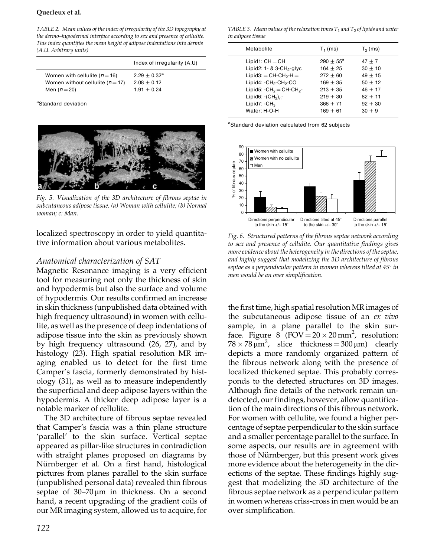#### Querleux et al.

TABLE 2. Mean values of the index of irregularity of the 3D topography at the dermo-hypodermal interface according to sex and presence of cellulite. This index quantifies the mean height of adipose indentations into dermis (A.U. Arbitrary units)

|                                      | Index of irregularity (A.U) |
|--------------------------------------|-----------------------------|
| Women with cellulite ( $n = 16$ )    | $2.29 + 0.32^a$             |
| Women without cellulite ( $n = 17$ ) | $2.08 + 0.12$               |
| Men $(n=20)$                         | $1.91 + 0.24$               |

<sup>a</sup>Standard deviation



Fig. 5. Visualization of the 3D architecture of fibrous septae in subcutaneous adipose tissue. (a) Woman with cellulite; (b) Normal woman; c: Man.

localized spectroscopy in order to yield quantitative information about various metabolites.

## Anatomical characterization of SAT

Magnetic Resonance imaging is a very efficient tool for measuring not only the thickness of skin and hypodermis but also the surface and volume of hypodermis. Our results confirmed an increase in skin thickness (unpublished data obtained with high frequency ultrasound) in women with cellulite, as well as the presence of deep indentations of adipose tissue into the skin as previously shown by high frequency ultrasound (26, 27), and by histology (23). High spatial resolution MR imaging enabled us to detect for the first time Camper's fascia, formerly demonstrated by histology (31), as well as to measure independently the superficial and deep adipose layers within the hypodermis. A thicker deep adipose layer is a notable marker of cellulite.

The 3D architecture of fibrous septae revealed that Camper's fascia was a thin plane structure 'parallel' to the skin surface. Vertical septae appeared as pillar-like structures in contradiction with straight planes proposed on diagrams by Nürnberger et al. On a first hand, histological pictures from planes parallel to the skin surface (unpublished personal data) revealed thin fibrous septae of  $30-70 \mu m$  in thickness. On a second hand, a recent upgrading of the gradient coils of our MR imaging system, allowed us to acquire, for

TABLE 3. Mean values of the relaxation times  $T_1$  and  $T_2$  of lipids and water in adipose tissue

| Metabolite                                                                                                                                                                                                               | $T_1$ (ms)                                                                                                              | $T2$ (ms)                                                                                          |
|--------------------------------------------------------------------------------------------------------------------------------------------------------------------------------------------------------------------------|-------------------------------------------------------------------------------------------------------------------------|----------------------------------------------------------------------------------------------------|
| $Lipid1:CH=CH$<br>Lipid2: $1 - 8$ 3-CH <sub>2</sub> -glyc<br>$Lipid3:$ $=$ CH-CH <sub>2</sub> -H $=$<br>$Lipid4$ : $-CH2-CH2-CO$<br>Lipid5: $-CH_2 = CH-CH_2$ -<br>Lipid6: $-(CH2)n$ -<br>Lipid7: $-CH3$<br>Water: H-O-H | $290 + 55^{\text{a}}$<br>$164 + 25$<br>$272 + 60$<br>$169 + 35$<br>$213 + 35$<br>$219 + 30$<br>$366 + 71$<br>$169 + 61$ | $47 + 7$<br>$30 + 10$<br>$49 + 15$<br>$50 + 12$<br>$46 + 17$<br>$82 + 11$<br>$92 + 30$<br>$30 + 9$ |
|                                                                                                                                                                                                                          |                                                                                                                         |                                                                                                    |

<sup>a</sup>Standard deviation calculated from 62 subjects



Fig. 6. Structured patterns of the fibrous septae network according to sex and presence of cellulite. Our quantitative findings gives more evidence about the heterogeneity in the directions of the septae, and highly suggest that modelizing the 3D architecture of fibrous septae as a perpendicular pattern in women whereas tilted at  $45^{\circ}$  in men would be an over simplification.

the first time, high spatial resolution MR images of the subcutaneous adipose tissue of an ex vivo sample, in a plane parallel to the skin surface. Figure 8 (FOV =  $20 \times 20$  mm<sup>2</sup>, resolution:  $78 \times 78 \,\mathrm{\upmu m}^2$ , slice thickness = 300  $\mathrm{\upmu m}$ ) clearly depicts a more randomly organized pattern of the fibrous network along with the presence of localized thickened septae. This probably corresponds to the detected structures on 3D images. Although fine details of the network remain undetected, our findings, however, allow quantification of the main directions of this fibrous network. For women with cellulite, we found a higher percentage of septae perpendicular to the skin surface and a smaller percentage parallel to the surface. In some aspects, our results are in agreement with those of Nürnberger, but this present work gives more evidence about the heterogeneity in the directions of the septae. These findings highly suggest that modelizing the 3D architecture of the fibrous septae network as a perpendicular pattern in women whereas criss-cross in men would be an over simplification.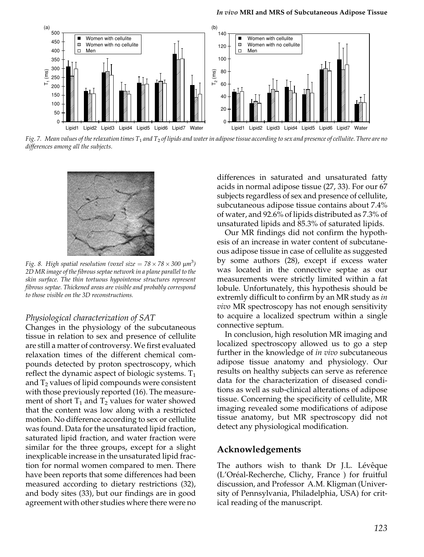

Fig. 7. Mean values of the relaxation times  $T_1$  and  $T_2$  of lipids and water in adipose tissue according to sex and presence of cellulite. There are no differences among all the subjects.



Fig. 8. High spatial resolution (voxel size =  $78 \times 78 \times 300 \text{ }\mu\text{m}^3$ ) 2D MR image of the fibrous septae network in a plane parallel to the skin surface. The thin tortuous hypointense structures represent fibrous septae. Thickened areas are visible and probably correspond to those visible on the 3D reconstructions.

#### Physiological characterization of SAT

Changes in the physiology of the subcutaneous tissue in relation to sex and presence of cellulite are still a matter of controversy. We first evaluated relaxation times of the different chemical compounds detected by proton spectroscopy, which reflect the dynamic aspect of biologic systems.  $T_1$ and  $T_2$  values of lipid compounds were consistent with those previously reported (16). The measurement of short  $T_1$  and  $T_2$  values for water showed that the content was low along with a restricted motion. No difference according to sex or cellulite was found. Data for the unsaturated lipid fraction, saturated lipid fraction, and water fraction were similar for the three groups, except for a slight inexplicable increase in the unsaturated lipid fraction for normal women compared to men. There have been reports that some differences had been measured according to dietary restrictions (32), and body sites (33), but our findings are in good agreement with other studies where there were no

differences in saturated and unsaturated fatty acids in normal adipose tissue (27, 33). For our 67 subjects regardless of sex and presence of cellulite. subcutaneous adipose tissue contains about 7.4% of water, and 92.6% of lipids distributed as 7.3% of unsaturated lipids and 85.3% of saturated lipids.

Our MR findings did not confirm the hypothesis of an increase in water content of subcutaneous adipose tissue in case of cellulite as suggested by some authors (28), except if excess water was located in the connective septae as our measurements were strictly limited within a fat lobule. Unfortunately, this hypothesis should be extremly difficult to confirm by an MR study as in *vivo* MR spectroscopy has not enough sensitivity to acquire a localized spectrum within a single connective septum.

In conclusion, high resolution MR imaging and localized spectroscopy allowed us to go a step further in the knowledge of in vivo subcutaneous adipose tissue anatomy and physiology. Our results on healthy subjects can serve as reference data for the characterization of diseased conditions as well as sub-clinical alterations of adipose tissue. Concerning the specificity of cellulite, MR imaging revealed some modifications of adipose tissue anatomy, but MR spectroscopy did not detect any physiological modification.

## Acknowledgements

The authors wish to thank Dr J.L. Lévêque (L'Oréal-Recherche, Clichy, France) for fruitful discussion, and Professor A.M. Kligman (University of Pennsylvania, Philadelphia, USA) for critical reading of the manuscript.